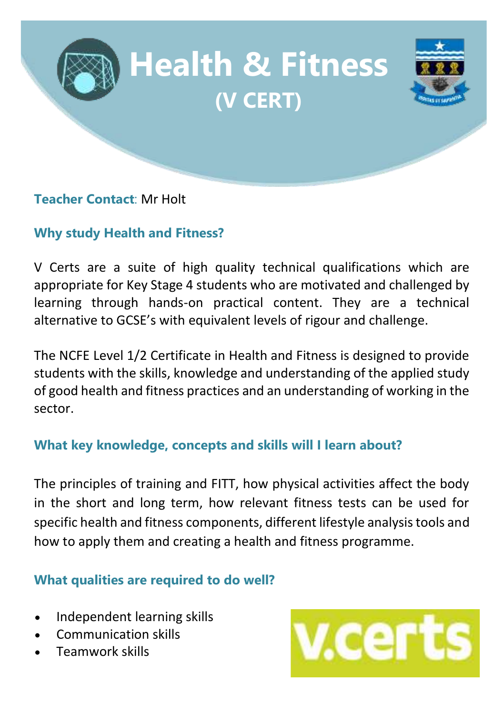

### **Teacher Contact**: Mr Holt

# **Why study Health and Fitness?**

V Certs are a suite of high quality technical qualifications which are appropriate for Key Stage 4 students who are motivated and challenged by learning through hands-on practical content. They are a technical alternative to GCSE's with equivalent levels of rigour and challenge.

The NCFE Level 1/2 Certificate in Health and Fitness is designed to provide students with the skills, knowledge and understanding of the applied study of good health and fitness practices and an understanding of working in the sector.

## **What key knowledge, concepts and skills will I learn about?**

The principles of training and FITT, how physical activities affect the body in the short and long term, how relevant fitness tests can be used for specific health and fitness components, different lifestyle analysis tools and how to apply them and creating a health and fitness programme.

## **What qualities are required to do well?**

- Independent learning skills
- Communication skills
- Teamwork skills